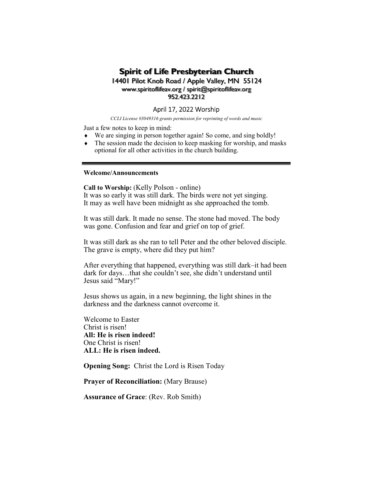# Spirit of Life Presbyterian Church

## 14401 Pilot Knob Road / Apple Valley, MN 55124 www.spiritoflifeav.org / spirit@spiritoflifeav.org 952.423.2212

## April 17, 2022 Worship

CCLI License #3049316 grants permission for reprinting of words and music

Just a few notes to keep in mind:

- $\bullet$  We are singing in person together again! So come, and sing boldly!
- The session made the decision to keep masking for worship, and masks optional for all other activities in the church building.

## Welcome/Announcements

Call to Worship: (Kelly Polson - online)

It was so early it was still dark. The birds were not yet singing. It may as well have been midnight as she approached the tomb.

It was still dark. It made no sense. The stone had moved. The body was gone. Confusion and fear and grief on top of grief.

It was still dark as she ran to tell Peter and the other beloved disciple. The grave is empty, where did they put him?

After everything that happened, everything was still dark–it had been dark for days…that she couldn't see, she didn't understand until Jesus said "Mary!"

Jesus shows us again, in a new beginning, the light shines in the darkness and the darkness cannot overcome it.

Welcome to Easter Christ is risen! All: He is risen indeed! One Christ is risen! ALL: He is risen indeed.

Opening Song: Christ the Lord is Risen Today

Prayer of Reconciliation: (Mary Brause)

Assurance of Grace: (Rev. Rob Smith)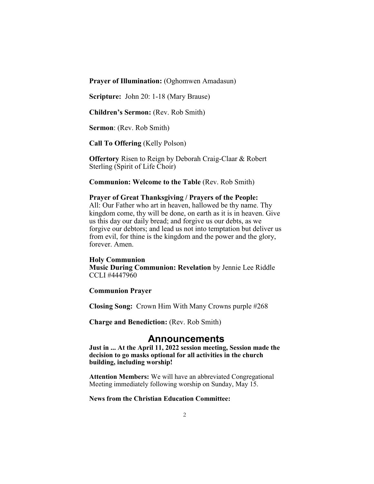Prayer of Illumination: (Oghomwen Amadasun)

Scripture: John 20: 1-18 (Mary Brause)

Children's Sermon: (Rev. Rob Smith)

Sermon: (Rev. Rob Smith)

Call To Offering (Kelly Polson)

Offertory Risen to Reign by Deborah Craig-Claar & Robert Sterling (Spirit of Life Choir)

Communion: Welcome to the Table (Rev. Rob Smith)

## Prayer of Great Thanksgiving / Prayers of the People:

All: Our Father who art in heaven, hallowed be thy name. Thy kingdom come, thy will be done, on earth as it is in heaven. Give us this day our daily bread; and forgive us our debts, as we forgive our debtors; and lead us not into temptation but deliver us from evil, for thine is the kingdom and the power and the glory, forever. Amen.

#### Holy Communion

Music During Communion: Revelation by Jennie Lee Riddle CCLI #4447960

## Communion Prayer

Closing Song: Crown Him With Many Crowns purple #268

Charge and Benediction: (Rev. Rob Smith)

## Announcements

Just in ... At the April 11, 2022 session meeting, Session made the decision to go masks optional for all activities in the church building, including worship!

Attention Members: We will have an abbreviated Congregational Meeting immediately following worship on Sunday, May 15.

### News from the Christian Education Committee: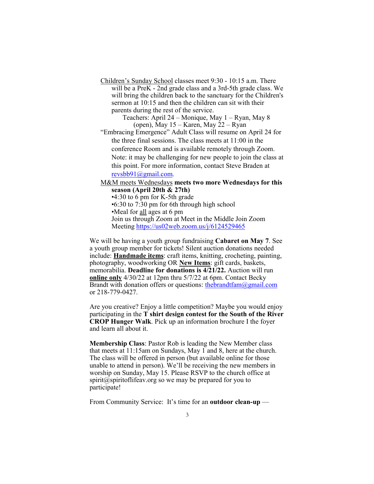Children's Sunday School classes meet 9:30 - 10:15 a.m. There will be a PreK - 2nd grade class and a 3rd-5th grade class. We will bring the children back to the sanctuary for the Children's sermon at 10:15 and then the children can sit with their parents during the rest of the service.

> Teachers: April 24 – Monique, May 1 – Ryan, May 8 (open), May  $15 -$ Karen, May  $22 -$ Ryan

"Embracing Emergence" Adult Class will resume on April 24 for the three final sessions. The class meets at 11:00 in the conference Room and is available remotely through Zoom. Note: it may be challenging for new people to join the class at this point. For more information, contact Steve Braden at revsbb91@gmail.com.

M&M meets Wednesdays meets two more Wednesdays for this season (April 20th & 27th) •4:30 to 6 pm for K-5th grade •6:30 to 7:30 pm for 6th through high school •Meal for all ages at 6 pm Join us through Zoom at Meet in the Middle Join Zoom

Meeting https://us02web.zoom.us/j/6124529465

We will be having a youth group fundraising Cabaret on May 7. See a youth group member for tickets! Silent auction donations needed include: Handmade items: craft items, knitting, crocheting, painting, photography, woodworking OR New Items: gift cards, baskets, memorabilia. Deadline for donations is 4/21/22. Auction will run online only 4/30/22 at 12pm thru 5/7/22 at 6pm. Contact Becky Brandt with donation offers or questions: the brandtfam $@g$ gmail.com or 218-779-0427.

Are you creative? Enjoy a little competition? Maybe you would enjoy participating in the T shirt design contest for the South of the River CROP Hunger Walk. Pick up an information brochure I the foyer and learn all about it.

Membership Class: Pastor Rob is leading the New Member class that meets at 11:15am on Sundays, May 1 and 8, here at the church. The class will be offered in person (but available online for those unable to attend in person). We'll be receiving the new members in worship on Sunday, May 15. Please RSVP to the church office at spirit@spiritoflifeav.org so we may be prepared for you to participate!

From Community Service: It's time for an outdoor clean-up —